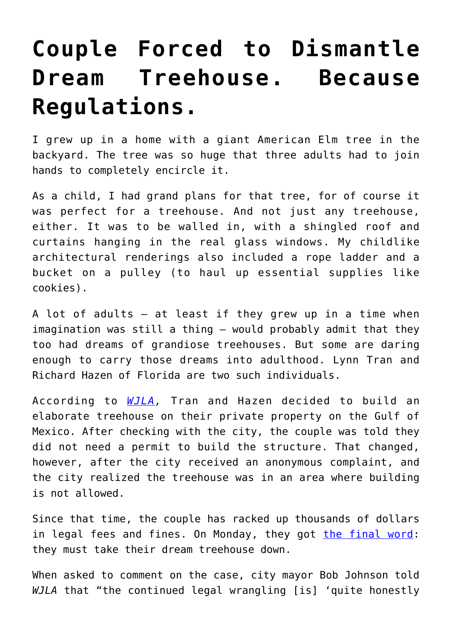## **[Couple Forced to Dismantle](https://intellectualtakeout.org/2018/01/couple-forced-to-dismantle-dream-treehouse-because-regulations/) [Dream Treehouse. Because](https://intellectualtakeout.org/2018/01/couple-forced-to-dismantle-dream-treehouse-because-regulations/) [Regulations.](https://intellectualtakeout.org/2018/01/couple-forced-to-dismantle-dream-treehouse-because-regulations/)**

I grew up in a home with a giant American Elm tree in the backyard. The tree was so huge that three adults had to join hands to completely encircle it.

As a child, I had grand plans for that tree, for of course it was perfect for a treehouse. And not just any treehouse, either. It was to be walled in, with a shingled roof and curtains hanging in the real glass windows. My childlike architectural renderings also included a rope ladder and a bucket on a pulley (to haul up essential supplies like cookies).

A lot of adults – at least if they grew up in a time when imagination was still a thing – would probably admit that they too had dreams of grandiose treehouses. But some are daring enough to carry those dreams into adulthood. Lynn Tran and Richard Hazen of Florida are two such individuals.

According to *[WJLA](http://wjla.com/news/offbeat/told-their-treehouse-must-go-owners-appeal-to-supreme-court),* Tran and Hazen decided to build an elaborate treehouse on their private property on the Gulf of Mexico. After checking with the city, the couple was told they did not need a permit to build the structure. That changed, however, after the city received an anonymous complaint, and the city realized the treehouse was in an area where building is not allowed.

Since that time, the couple has racked up thousands of dollars in legal fees and fines. On Monday, they got [the final word:](http://abcnews.go.com/Politics/wireStory/supreme-court-florida-couples-treehouse-dispute-52210481) they must take their dream treehouse down.

When asked to comment on the case, city mayor Bob Johnson told *WJLA* that "the continued legal wrangling [is] 'quite honestly